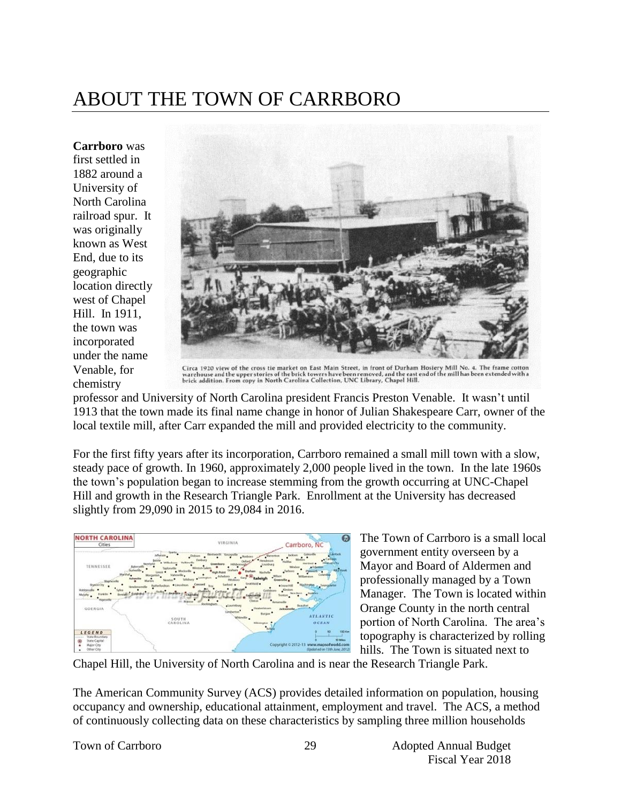# ABOUT THE TOWN OF CARRBORO

**Carrboro** was first settled in 1882 around a University of North Carolina railroad spur. It was originally known as West End, due to its geographic location directly west of Chapel Hill. In 1911, the town was incorporated under the name Venable, for chemistry



Circa 1920 view of the cross tie market on East Main Street, in front of Durham Hosiery Mill No. 4. The frame cotton<br>warehouse and the upper stories of the brick towers have been removed, and the east end of the mill has b

professor and University of North Carolina president Francis Preston Venable. It wasn't until 1913 that the town made its final name change in honor of Julian Shakespeare Carr, owner of the local textile mill, after Carr expanded the mill and provided electricity to the community.

For the first fifty years after its incorporation, Carrboro remained a small mill town with a slow, steady pace of growth. In 1960, approximately 2,000 people lived in the town. In the late 1960s the town's population began to increase stemming from the growth occurring at UNC-Chapel Hill and growth in the Research Triangle Park. Enrollment at the University has decreased slightly from 29,090 in 2015 to 29,084 in 2016.



The Town of Carrboro is a small local government entity overseen by a Mayor and Board of Aldermen and professionally managed by a Town Manager. The Town is located within Orange County in the north central portion of North Carolina. The area's topography is characterized by rolling hills. The Town is situated next to

Chapel Hill, the University of North Carolina and is near the Research Triangle Park.

The American Community Survey (ACS) provides detailed information on population, housing occupancy and ownership, educational attainment, employment and travel. The ACS, a method of continuously collecting data on these characteristics by sampling three million households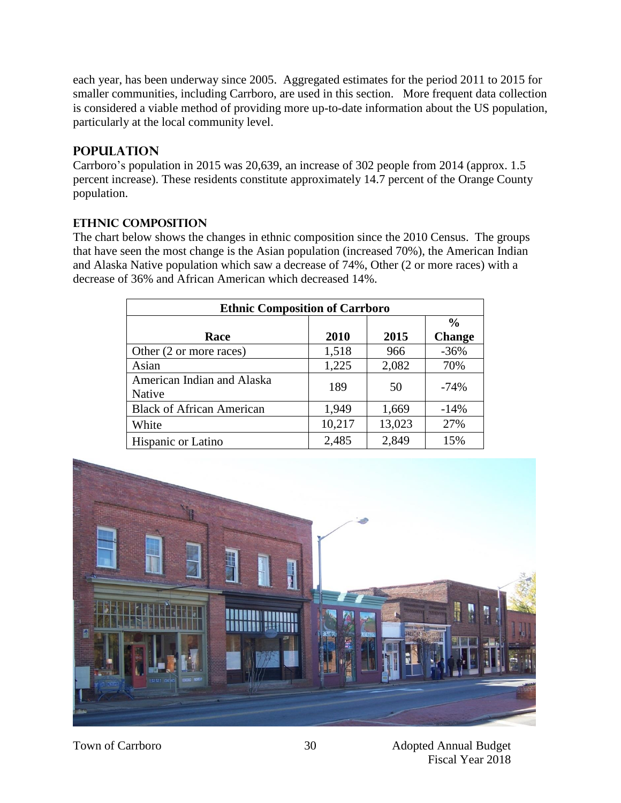each year, has been underway since 2005. Aggregated estimates for the period 2011 to 2015 for smaller communities, including Carrboro, are used in this section. More frequent data collection is considered a viable method of providing more up-to-date information about the US population, particularly at the local community level.

# **Population**

Carrboro's population in 2015 was 20,639, an increase of 302 people from 2014 (approx. 1.5 percent increase). These residents constitute approximately 14.7 percent of the Orange County population.

## **Ethnic Composition**

The chart below shows the changes in ethnic composition since the 2010 Census. The groups that have seen the most change is the Asian population (increased 70%), the American Indian and Alaska Native population which saw a decrease of 74%, Other (2 or more races) with a decrease of 36% and African American which decreased 14%.

| <b>Ethnic Composition of Carrboro</b> |        |        |               |  |
|---------------------------------------|--------|--------|---------------|--|
|                                       |        |        | $\frac{0}{0}$ |  |
| Race                                  | 2010   | 2015   | <b>Change</b> |  |
| Other (2 or more races)               | 1,518  | 966    | $-36%$        |  |
| Asian                                 | 1,225  | 2,082  | 70%           |  |
| American Indian and Alaska            | 189    | 50     | $-74%$        |  |
| Native                                |        |        |               |  |
| <b>Black of African American</b>      | 1,949  | 1,669  | $-14%$        |  |
| White                                 | 10,217 | 13,023 | 27%           |  |
| Hispanic or Latino                    | 2,485  | 2,849  | 15%           |  |

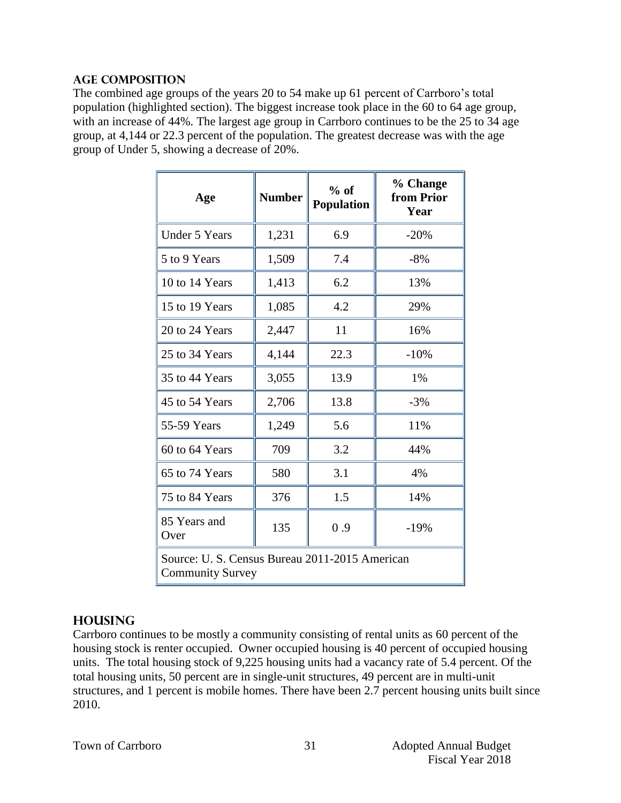#### **Age Composition**

The combined age groups of the years 20 to 54 make up 61 percent of Carrboro's total population (highlighted section). The biggest increase took place in the 60 to 64 age group, with an increase of 44%. The largest age group in Carrboro continues to be the 25 to 34 age group, at 4,144 or 22.3 percent of the population. The greatest decrease was with the age group of Under 5, showing a decrease of 20%.

| Age                                                                       | <b>Number</b> | $%$ of<br><b>Population</b> | % Change<br>from Prior<br>Year |  |
|---------------------------------------------------------------------------|---------------|-----------------------------|--------------------------------|--|
| <b>Under 5 Years</b>                                                      | 1,231         | 6.9                         | $-20%$                         |  |
| 5 to 9 Years                                                              | 1,509         | 7.4                         | $-8%$                          |  |
| 10 to 14 Years                                                            | 1,413         | 6.2                         | 13%                            |  |
| 15 to 19 Years                                                            | 1,085         | 4.2                         | 29%                            |  |
| 20 to 24 Years                                                            | 2,447         | 11                          | 16%                            |  |
| 25 to 34 Years                                                            | 4,144         | 22.3                        | $-10%$                         |  |
| 35 to 44 Years                                                            | 3,055         | 13.9                        | 1%                             |  |
| 45 to 54 Years                                                            | 2,706         | 13.8                        | $-3%$                          |  |
| 55-59 Years                                                               | 1,249         | 5.6                         | 11%                            |  |
| 60 to 64 Years                                                            | 709           | 3.2                         | 44%                            |  |
| 65 to 74 Years                                                            | 580           | 3.1                         | 4%                             |  |
| 75 to 84 Years                                                            | 376           | 1.5                         | 14%                            |  |
| 85 Years and<br>Over                                                      | 135           | 0.9                         | $-19%$                         |  |
| Source: U. S. Census Bureau 2011-2015 American<br><b>Community Survey</b> |               |                             |                                |  |

# **Housing**

Carrboro continues to be mostly a community consisting of rental units as 60 percent of the housing stock is renter occupied. Owner occupied housing is 40 percent of occupied housing units. The total housing stock of 9,225 housing units had a vacancy rate of 5.4 percent. Of the total housing units, 50 percent are in single-unit structures, 49 percent are in multi-unit structures, and 1 percent is mobile homes. There have been 2.7 percent housing units built since 2010.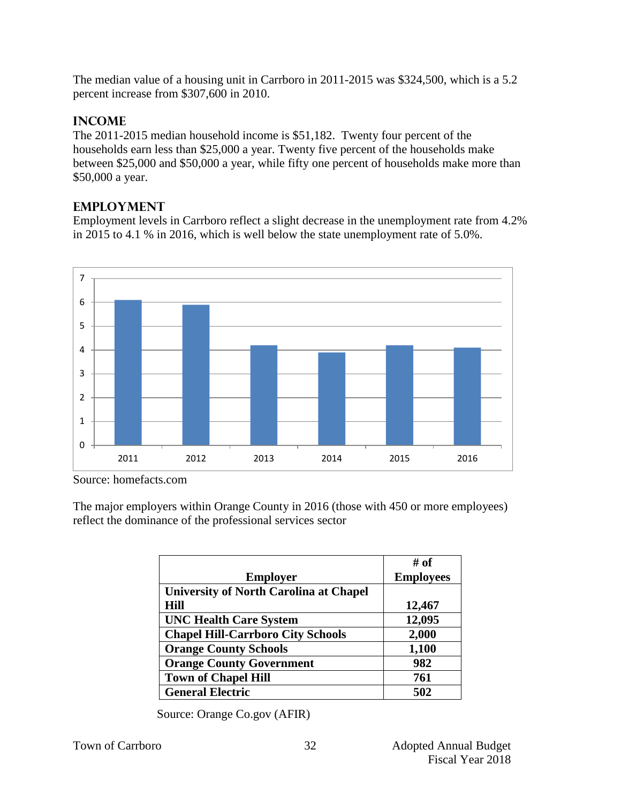The median value of a housing unit in Carrboro in 2011-2015 was \$324,500, which is a 5.2 percent increase from \$307,600 in 2010.

# **Income**

The 2011-2015 median household income is \$51,182. Twenty four percent of the households earn less than \$25,000 a year. Twenty five percent of the households make between \$25,000 and \$50,000 a year, while fifty one percent of households make more than \$50,000 a year.

# **Employment**

Employment levels in Carrboro reflect a slight decrease in the unemployment rate from 4.2% in 2015 to 4.1 % in 2016, which is well below the state unemployment rate of 5.0%.



Source: homefacts.com

The major employers within Orange County in 2016 (those with 450 or more employees) reflect the dominance of the professional services sector

|                                               | $\#$ of          |
|-----------------------------------------------|------------------|
| <b>Employer</b>                               | <b>Employees</b> |
| <b>University of North Carolina at Chapel</b> |                  |
| <b>Hill</b>                                   | 12,467           |
| <b>UNC Health Care System</b>                 | 12,095           |
| <b>Chapel Hill-Carrboro City Schools</b>      | 2,000            |
| <b>Orange County Schools</b>                  | 1,100            |
| <b>Orange County Government</b>               | 982              |
| <b>Town of Chapel Hill</b>                    | 761              |
| <b>General Electric</b>                       | 502              |

Source: Orange Co.gov (AFIR)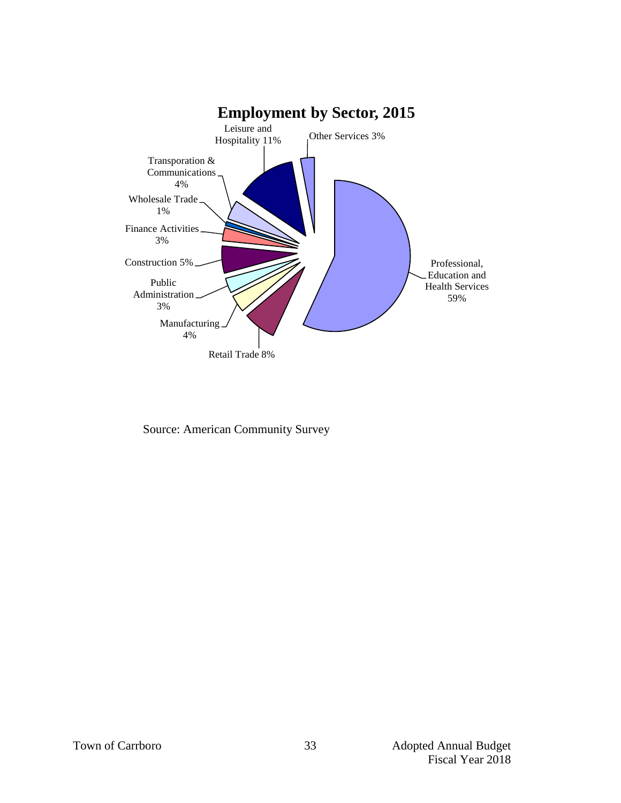

Source: American Community Survey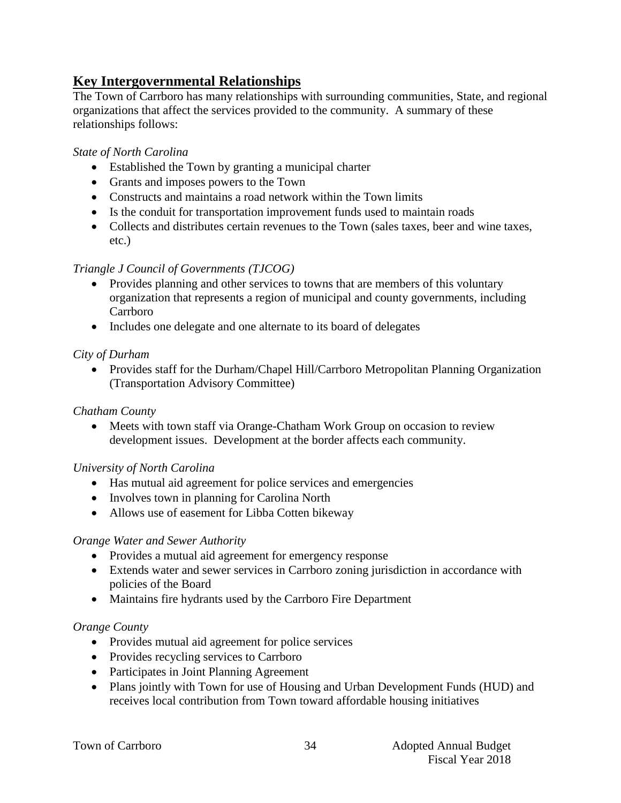# **Key Intergovernmental Relationships**

The Town of Carrboro has many relationships with surrounding communities, State, and regional organizations that affect the services provided to the community. A summary of these relationships follows:

### *State of North Carolina*

- Established the Town by granting a municipal charter
- Grants and imposes powers to the Town
- Constructs and maintains a road network within the Town limits
- Is the conduit for transportation improvement funds used to maintain roads
- Collects and distributes certain revenues to the Town (sales taxes, beer and wine taxes, etc.)

#### *Triangle J Council of Governments (TJCOG)*

- Provides planning and other services to towns that are members of this voluntary organization that represents a region of municipal and county governments, including Carrboro
- Includes one delegate and one alternate to its board of delegates

## *City of Durham*

• Provides staff for the Durham/Chapel Hill/Carrboro Metropolitan Planning Organization (Transportation Advisory Committee)

#### *Chatham County*

• Meets with town staff via Orange-Chatham Work Group on occasion to review development issues. Development at the border affects each community.

#### *University of North Carolina*

- Has mutual aid agreement for police services and emergencies
- Involves town in planning for Carolina North
- Allows use of easement for Libba Cotten bikeway

#### *Orange Water and Sewer Authority*

- Provides a mutual aid agreement for emergency response
- Extends water and sewer services in Carrboro zoning jurisdiction in accordance with policies of the Board
- Maintains fire hydrants used by the Carrboro Fire Department

#### *Orange County*

- Provides mutual aid agreement for police services
- Provides recycling services to Carrboro
- Participates in Joint Planning Agreement
- Plans jointly with Town for use of Housing and Urban Development Funds (HUD) and receives local contribution from Town toward affordable housing initiatives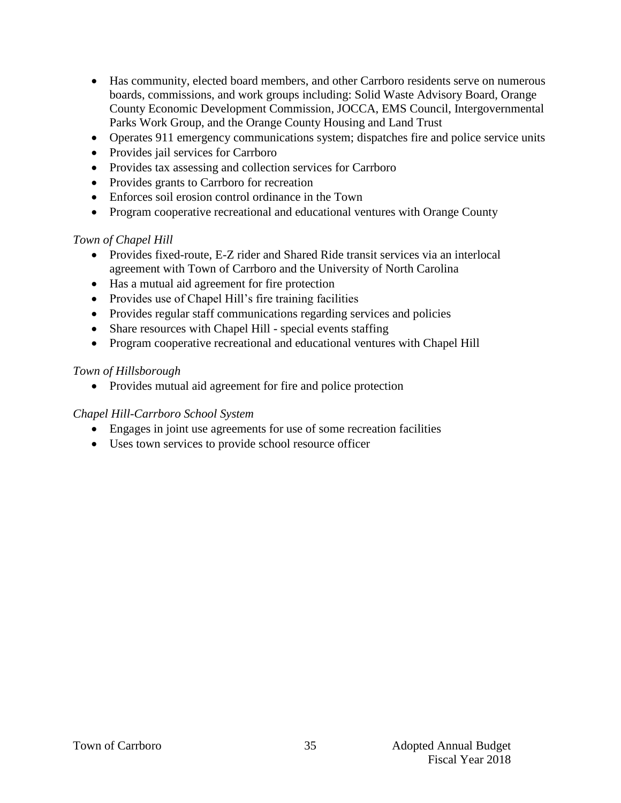- Has community, elected board members, and other Carrboro residents serve on numerous boards, commissions, and work groups including: Solid Waste Advisory Board, Orange County Economic Development Commission, JOCCA, EMS Council, Intergovernmental Parks Work Group, and the Orange County Housing and Land Trust
- Operates 911 emergency communications system; dispatches fire and police service units
- Provides jail services for Carrboro
- Provides tax assessing and collection services for Carrboro
- Provides grants to Carrboro for recreation
- Enforces soil erosion control ordinance in the Town
- Program cooperative recreational and educational ventures with Orange County

#### *Town of Chapel Hill*

- Provides fixed-route, E-Z rider and Shared Ride transit services via an interlocal agreement with Town of Carrboro and the University of North Carolina
- Has a mutual aid agreement for fire protection
- Provides use of Chapel Hill's fire training facilities
- Provides regular staff communications regarding services and policies
- Share resources with Chapel Hill special events staffing
- Program cooperative recreational and educational ventures with Chapel Hill

#### *Town of Hillsborough*

• Provides mutual aid agreement for fire and police protection

#### *Chapel Hill-Carrboro School System*

- Engages in joint use agreements for use of some recreation facilities
- Uses town services to provide school resource officer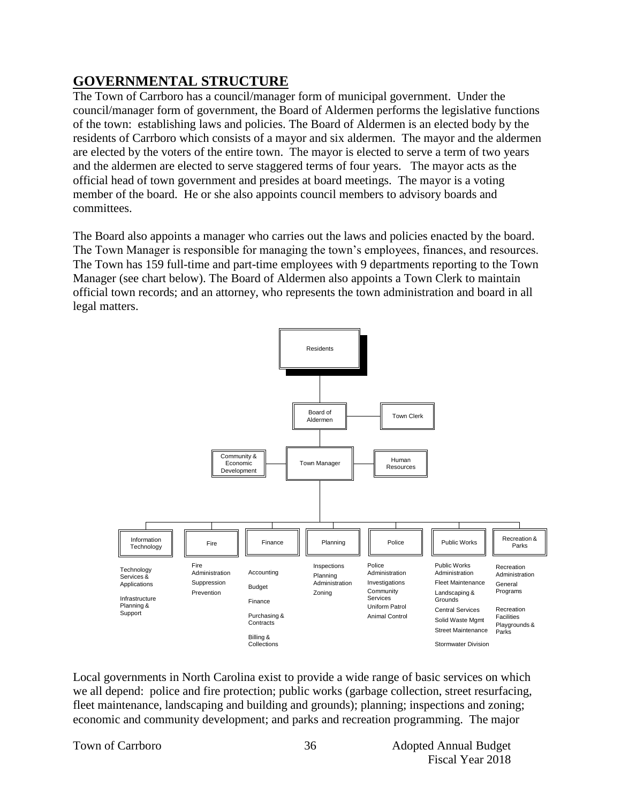# **GOVERNMENTAL STRUCTURE**

The Town of Carrboro has a council/manager form of municipal government. Under the council/manager form of government, the Board of Aldermen performs the legislative functions of the town: establishing laws and policies. The Board of Aldermen is an elected body by the residents of Carrboro which consists of a mayor and six aldermen. The mayor and the aldermen are elected by the voters of the entire town. The mayor is elected to serve a term of two years and the aldermen are elected to serve staggered terms of four years. The mayor acts as the official head of town government and presides at board meetings. The mayor is a voting member of the board. He or she also appoints council members to advisory boards and committees.

The Board also appoints a manager who carries out the laws and policies enacted by the board. The Town Manager is responsible for managing the town's employees, finances, and resources. The Town has 159 full-time and part-time employees with 9 departments reporting to the Town Manager (see chart below). The Board of Aldermen also appoints a Town Clerk to maintain official town records; and an attorney, who represents the town administration and board in all legal matters.



Local governments in North Carolina exist to provide a wide range of basic services on which we all depend: police and fire protection; public works (garbage collection, street resurfacing, fleet maintenance, landscaping and building and grounds); planning; inspections and zoning; economic and community development; and parks and recreation programming. The major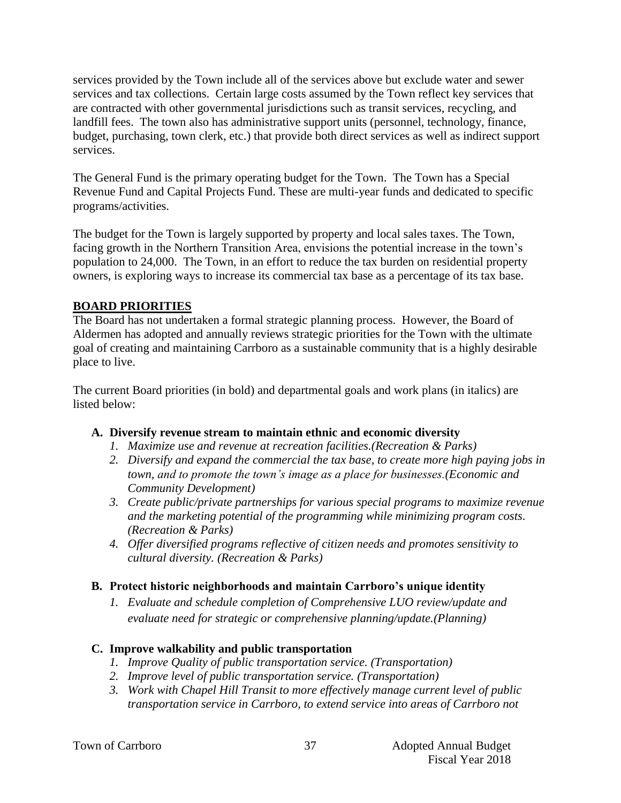services provided by the Town include all of the services above but exclude water and sewer services and tax collections. Certain large costs assumed by the Town reflect key services that are contracted with other governmental jurisdictions such as transit services, recycling, and landfill fees. The town also has administrative support units (personnel, technology, finance, budget, purchasing, town clerk, etc.) that provide both direct services as well as indirect support services.

The General Fund is the primary operating budget for the Town. The Town has a Special Revenue Fund and Capital Projects Fund. These are multi-year funds and dedicated to specific programs/activities.

The budget for the Town is largely supported by property and local sales taxes. The Town, facing growth in the Northern Transition Area, envisions the potential increase in the town's population to 24,000. The Town, in an effort to reduce the tax burden on residential property owners, is exploring ways to increase its commercial tax base as a percentage of its tax base.

## **BOARD PRIORITIES**

The Board has not undertaken a formal strategic planning process. However, the Board of Aldermen has adopted and annually reviews strategic priorities for the Town with the ultimate goal of creating and maintaining Carrboro as a sustainable community that is a highly desirable place to live.

The current Board priorities (in bold) and departmental goals and work plans (in italics) are listed below:

# **A. Diversify revenue stream to maintain ethnic and economic diversity**

- *1. Maximize use and revenue at recreation facilities.(Recreation & Parks)*
- *2. Diversify and expand the commercial the tax base, to create more high paying jobs in town, and to promote the town's image as a place for businesses.(Economic and Community Development)*
- *3. Create public/private partnerships for various special programs to maximize revenue and the marketing potential of the programming while minimizing program costs. (Recreation & Parks)*
- *4. Offer diversified programs reflective of citizen needs and promotes sensitivity to cultural diversity. (Recreation & Parks)*

#### **B. Protect historic neighborhoods and maintain Carrboro's unique identity**

*1. Evaluate and schedule completion of Comprehensive LUO review/update and evaluate need for strategic or comprehensive planning/update.(Planning)*

# **C. Improve walkability and public transportation**

- *1. Improve Quality of public transportation service. (Transportation)*
- *2. Improve level of public transportation service. (Transportation)*
- *3. Work with Chapel Hill Transit to more effectively manage current level of public transportation service in Carrboro, to extend service into areas of Carrboro not*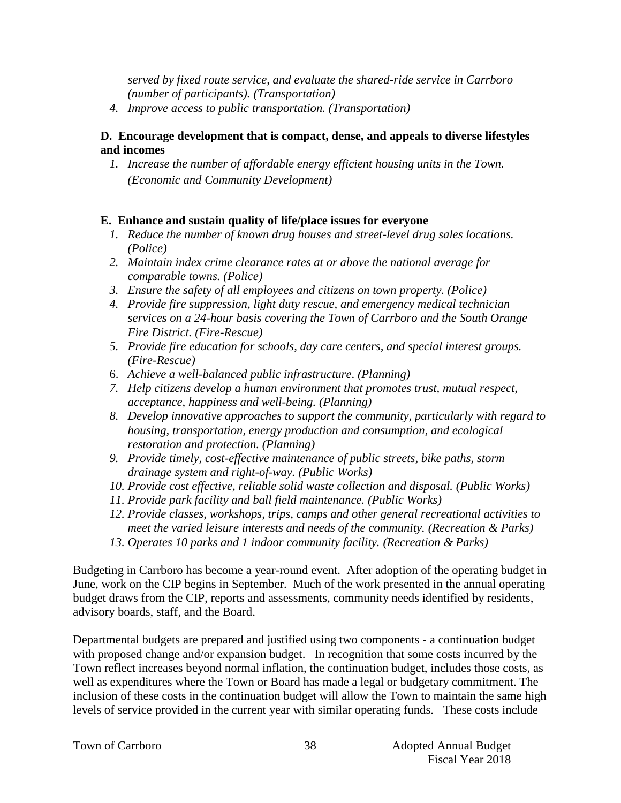*served by fixed route service, and evaluate the shared-ride service in Carrboro (number of participants). (Transportation)*

*4. Improve access to public transportation. (Transportation)*

#### **D. Encourage development that is compact, dense, and appeals to diverse lifestyles and incomes**

*1. Increase the number of affordable energy efficient housing units in the Town. (Economic and Community Development)*

## **E. Enhance and sustain quality of life/place issues for everyone**

- *1. Reduce the number of known drug houses and street-level drug sales locations. (Police)*
- *2. Maintain index crime clearance rates at or above the national average for comparable towns. (Police)*
- *3. Ensure the safety of all employees and citizens on town property. (Police)*
- *4. Provide fire suppression, light duty rescue, and emergency medical technician services on a 24-hour basis covering the Town of Carrboro and the South Orange Fire District. (Fire-Rescue)*
- *5. Provide fire education for schools, day care centers, and special interest groups. (Fire-Rescue)*
- 6. *Achieve a well-balanced public infrastructure*. *(Planning)*
- *7. Help citizens develop a human environment that promotes trust, mutual respect, acceptance, happiness and well-being. (Planning)*
- *8. Develop innovative approaches to support the community, particularly with regard to housing, transportation, energy production and consumption, and ecological restoration and protection. (Planning)*
- *9. Provide timely, cost-effective maintenance of public streets, bike paths, storm drainage system and right-of-way. (Public Works)*
- *10. Provide cost effective, reliable solid waste collection and disposal. (Public Works)*
- *11. Provide park facility and ball field maintenance. (Public Works)*
- *12. Provide classes, workshops, trips, camps and other general recreational activities to meet the varied leisure interests and needs of the community. (Recreation & Parks)*
- *13. Operates 10 parks and 1 indoor community facility. (Recreation & Parks)*

Budgeting in Carrboro has become a year-round event. After adoption of the operating budget in June, work on the CIP begins in September. Much of the work presented in the annual operating budget draws from the CIP, reports and assessments, community needs identified by residents, advisory boards, staff, and the Board.

Departmental budgets are prepared and justified using two components - a continuation budget with proposed change and/or expansion budget. In recognition that some costs incurred by the Town reflect increases beyond normal inflation, the continuation budget, includes those costs, as well as expenditures where the Town or Board has made a legal or budgetary commitment. The inclusion of these costs in the continuation budget will allow the Town to maintain the same high levels of service provided in the current year with similar operating funds. These costs include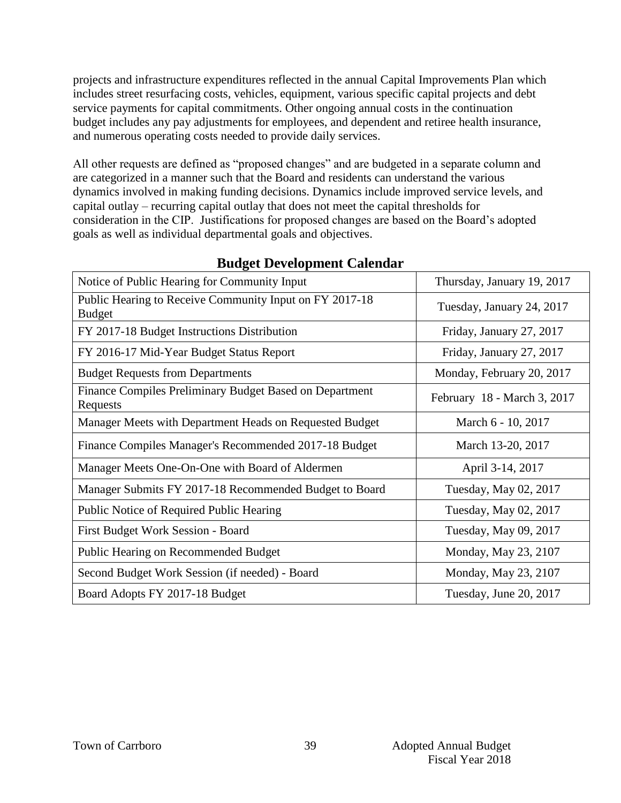projects and infrastructure expenditures reflected in the annual Capital Improvements Plan which includes street resurfacing costs, vehicles, equipment, various specific capital projects and debt service payments for capital commitments. Other ongoing annual costs in the continuation budget includes any pay adjustments for employees, and dependent and retiree health insurance, and numerous operating costs needed to provide daily services.

All other requests are defined as "proposed changes" and are budgeted in a separate column and are categorized in a manner such that the Board and residents can understand the various dynamics involved in making funding decisions. Dynamics include improved service levels, and capital outlay – recurring capital outlay that does not meet the capital thresholds for consideration in the CIP. Justifications for proposed changes are based on the Board's adopted goals as well as individual departmental goals and objectives.

| Notice of Public Hearing for Community Input                             | Thursday, January 19, 2017  |
|--------------------------------------------------------------------------|-----------------------------|
| Public Hearing to Receive Community Input on FY 2017-18<br><b>Budget</b> | Tuesday, January 24, 2017   |
| FY 2017-18 Budget Instructions Distribution                              | Friday, January 27, 2017    |
| FY 2016-17 Mid-Year Budget Status Report                                 | Friday, January 27, 2017    |
| <b>Budget Requests from Departments</b>                                  | Monday, February 20, 2017   |
| Finance Compiles Preliminary Budget Based on Department<br>Requests      | February 18 - March 3, 2017 |
| Manager Meets with Department Heads on Requested Budget                  | March 6 - 10, 2017          |
| Finance Compiles Manager's Recommended 2017-18 Budget                    | March 13-20, 2017           |
| Manager Meets One-On-One with Board of Aldermen                          | April 3-14, 2017            |
| Manager Submits FY 2017-18 Recommended Budget to Board                   | Tuesday, May 02, 2017       |
| Public Notice of Required Public Hearing                                 | Tuesday, May 02, 2017       |
| First Budget Work Session - Board                                        | Tuesday, May 09, 2017       |
| <b>Public Hearing on Recommended Budget</b>                              | Monday, May 23, 2107        |
| Second Budget Work Session (if needed) - Board                           | Monday, May 23, 2107        |
| Board Adopts FY 2017-18 Budget                                           | Tuesday, June 20, 2017      |

# **Budget Development Calendar**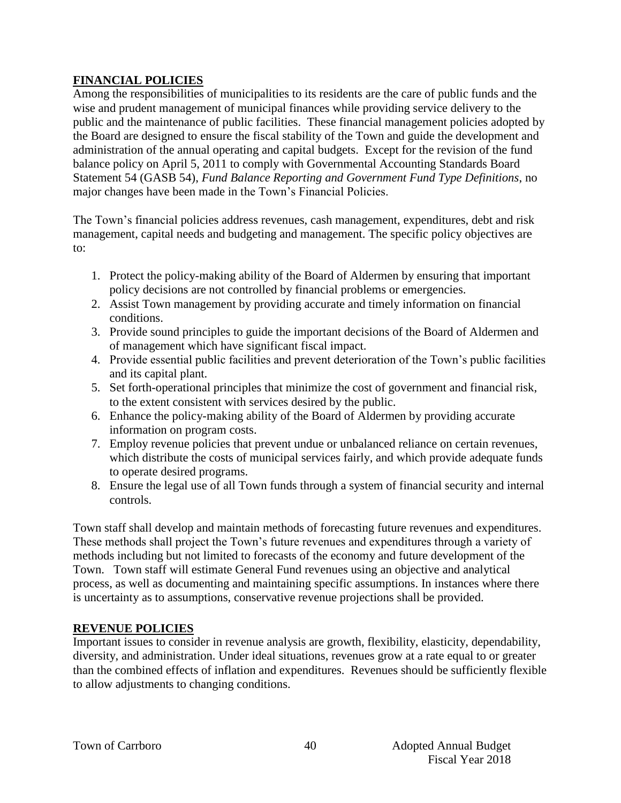## **FINANCIAL POLICIES**

Among the responsibilities of municipalities to its residents are the care of public funds and the wise and prudent management of municipal finances while providing service delivery to the public and the maintenance of public facilities. These financial management policies adopted by the Board are designed to ensure the fiscal stability of the Town and guide the development and administration of the annual operating and capital budgets. Except for the revision of the fund balance policy on April 5, 2011 to comply with Governmental Accounting Standards Board Statement 54 (GASB 54), *Fund Balance Reporting and Government Fund Type Definitions*, no major changes have been made in the Town's Financial Policies.

The Town's financial policies address revenues, cash management, expenditures, debt and risk management, capital needs and budgeting and management. The specific policy objectives are to:

- 1. Protect the policy-making ability of the Board of Aldermen by ensuring that important policy decisions are not controlled by financial problems or emergencies.
- 2. Assist Town management by providing accurate and timely information on financial conditions.
- 3. Provide sound principles to guide the important decisions of the Board of Aldermen and of management which have significant fiscal impact.
- 4. Provide essential public facilities and prevent deterioration of the Town's public facilities and its capital plant.
- 5. Set forth-operational principles that minimize the cost of government and financial risk, to the extent consistent with services desired by the public.
- 6. Enhance the policy-making ability of the Board of Aldermen by providing accurate information on program costs.
- 7. Employ revenue policies that prevent undue or unbalanced reliance on certain revenues, which distribute the costs of municipal services fairly, and which provide adequate funds to operate desired programs.
- 8. Ensure the legal use of all Town funds through a system of financial security and internal controls.

Town staff shall develop and maintain methods of forecasting future revenues and expenditures. These methods shall project the Town's future revenues and expenditures through a variety of methods including but not limited to forecasts of the economy and future development of the Town. Town staff will estimate General Fund revenues using an objective and analytical process, as well as documenting and maintaining specific assumptions. In instances where there is uncertainty as to assumptions, conservative revenue projections shall be provided.

# **REVENUE POLICIES**

Important issues to consider in revenue analysis are growth, flexibility, elasticity, dependability, diversity, and administration. Under ideal situations, revenues grow at a rate equal to or greater than the combined effects of inflation and expenditures. Revenues should be sufficiently flexible to allow adjustments to changing conditions.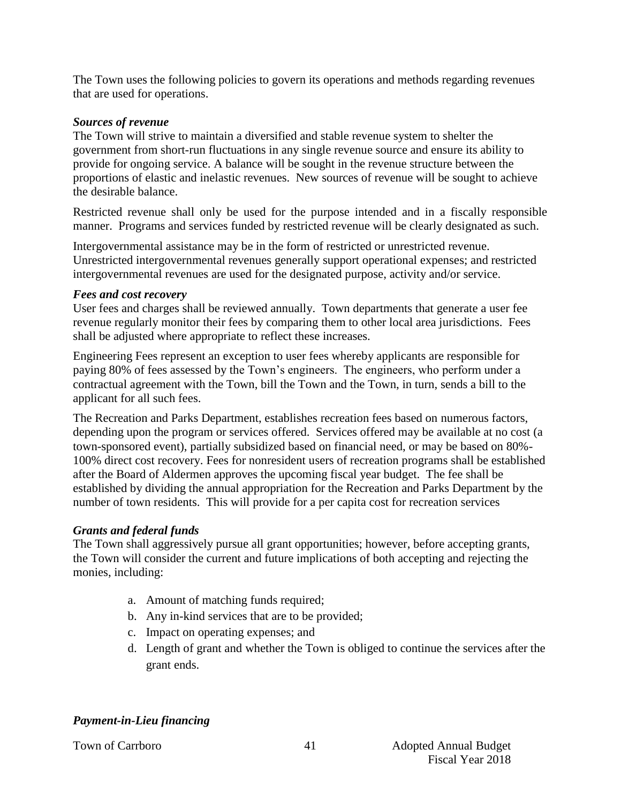The Town uses the following policies to govern its operations and methods regarding revenues that are used for operations.

#### *Sources of revenue*

The Town will strive to maintain a diversified and stable revenue system to shelter the government from short-run fluctuations in any single revenue source and ensure its ability to provide for ongoing service. A balance will be sought in the revenue structure between the proportions of elastic and inelastic revenues. New sources of revenue will be sought to achieve the desirable balance.

Restricted revenue shall only be used for the purpose intended and in a fiscally responsible manner. Programs and services funded by restricted revenue will be clearly designated as such.

Intergovernmental assistance may be in the form of restricted or unrestricted revenue. Unrestricted intergovernmental revenues generally support operational expenses; and restricted intergovernmental revenues are used for the designated purpose, activity and/or service.

#### *Fees and cost recovery*

User fees and charges shall be reviewed annually. Town departments that generate a user fee revenue regularly monitor their fees by comparing them to other local area jurisdictions. Fees shall be adjusted where appropriate to reflect these increases.

Engineering Fees represent an exception to user fees whereby applicants are responsible for paying 80% of fees assessed by the Town's engineers. The engineers, who perform under a contractual agreement with the Town, bill the Town and the Town, in turn, sends a bill to the applicant for all such fees.

The Recreation and Parks Department, establishes recreation fees based on numerous factors, depending upon the program or services offered. Services offered may be available at no cost (a town-sponsored event), partially subsidized based on financial need, or may be based on 80%- 100% direct cost recovery. Fees for nonresident users of recreation programs shall be established after the Board of Aldermen approves the upcoming fiscal year budget. The fee shall be established by dividing the annual appropriation for the Recreation and Parks Department by the number of town residents. This will provide for a per capita cost for recreation services

#### *Grants and federal funds*

The Town shall aggressively pursue all grant opportunities; however, before accepting grants, the Town will consider the current and future implications of both accepting and rejecting the monies, including:

- a. Amount of matching funds required;
- b. Any in-kind services that are to be provided;
- c. Impact on operating expenses; and
- d. Length of grant and whether the Town is obliged to continue the services after the grant ends.

#### *Payment-in-Lieu financing*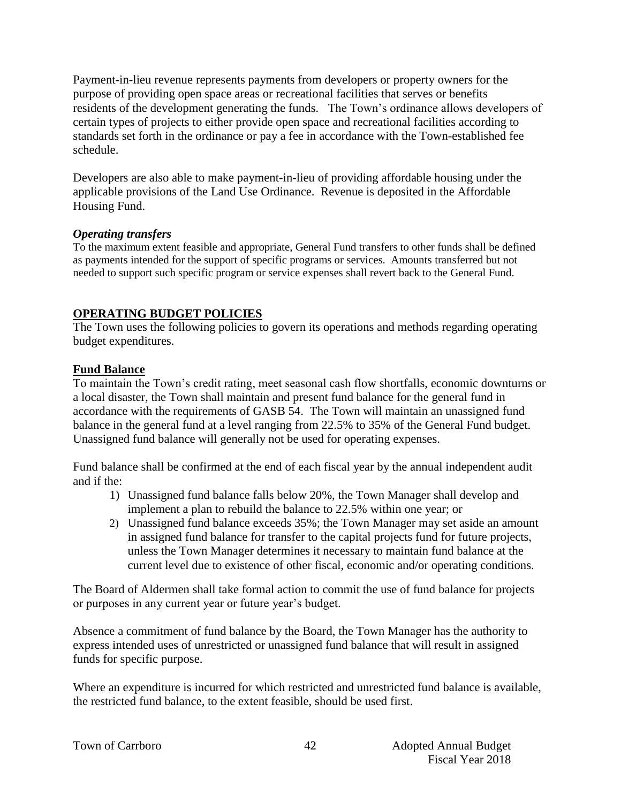Payment-in-lieu revenue represents payments from developers or property owners for the purpose of providing open space areas or recreational facilities that serves or benefits residents of the development generating the funds. The Town's ordinance allows developers of certain types of projects to either provide open space and recreational facilities according to standards set forth in the ordinance or pay a fee in accordance with the Town-established fee schedule.

Developers are also able to make payment-in-lieu of providing affordable housing under the applicable provisions of the Land Use Ordinance. Revenue is deposited in the Affordable Housing Fund.

#### *Operating transfers*

To the maximum extent feasible and appropriate, General Fund transfers to other funds shall be defined as payments intended for the support of specific programs or services. Amounts transferred but not needed to support such specific program or service expenses shall revert back to the General Fund.

#### **OPERATING BUDGET POLICIES**

The Town uses the following policies to govern its operations and methods regarding operating budget expenditures.

#### **Fund Balance**

To maintain the Town's credit rating, meet seasonal cash flow shortfalls, economic downturns or a local disaster, the Town shall maintain and present fund balance for the general fund in accordance with the requirements of GASB 54. The Town will maintain an unassigned fund balance in the general fund at a level ranging from 22.5% to 35% of the General Fund budget. Unassigned fund balance will generally not be used for operating expenses.

Fund balance shall be confirmed at the end of each fiscal year by the annual independent audit and if the:

- 1) Unassigned fund balance falls below 20%, the Town Manager shall develop and implement a plan to rebuild the balance to 22.5% within one year; or
- 2) Unassigned fund balance exceeds 35%; the Town Manager may set aside an amount in assigned fund balance for transfer to the capital projects fund for future projects, unless the Town Manager determines it necessary to maintain fund balance at the current level due to existence of other fiscal, economic and/or operating conditions.

The Board of Aldermen shall take formal action to commit the use of fund balance for projects or purposes in any current year or future year's budget.

Absence a commitment of fund balance by the Board, the Town Manager has the authority to express intended uses of unrestricted or unassigned fund balance that will result in assigned funds for specific purpose.

Where an expenditure is incurred for which restricted and unrestricted fund balance is available, the restricted fund balance, to the extent feasible, should be used first.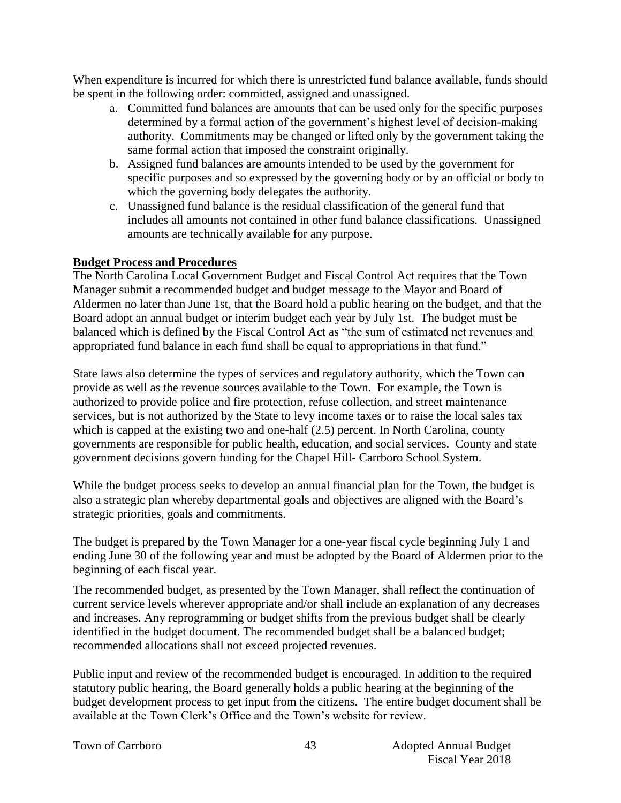When expenditure is incurred for which there is unrestricted fund balance available, funds should be spent in the following order: committed, assigned and unassigned.

- a. Committed fund balances are amounts that can be used only for the specific purposes determined by a formal action of the government's highest level of decision-making authority. Commitments may be changed or lifted only by the government taking the same formal action that imposed the constraint originally.
- b. Assigned fund balances are amounts intended to be used by the government for specific purposes and so expressed by the governing body or by an official or body to which the governing body delegates the authority.
- c. Unassigned fund balance is the residual classification of the general fund that includes all amounts not contained in other fund balance classifications. Unassigned amounts are technically available for any purpose.

## **Budget Process and Procedures**

The North Carolina Local Government Budget and Fiscal Control Act requires that the Town Manager submit a recommended budget and budget message to the Mayor and Board of Aldermen no later than June 1st, that the Board hold a public hearing on the budget, and that the Board adopt an annual budget or interim budget each year by July 1st. The budget must be balanced which is defined by the Fiscal Control Act as "the sum of estimated net revenues and appropriated fund balance in each fund shall be equal to appropriations in that fund."

State laws also determine the types of services and regulatory authority, which the Town can provide as well as the revenue sources available to the Town. For example, the Town is authorized to provide police and fire protection, refuse collection, and street maintenance services, but is not authorized by the State to levy income taxes or to raise the local sales tax which is capped at the existing two and one-half  $(2.5)$  percent. In North Carolina, county governments are responsible for public health, education, and social services. County and state government decisions govern funding for the Chapel Hill- Carrboro School System.

While the budget process seeks to develop an annual financial plan for the Town, the budget is also a strategic plan whereby departmental goals and objectives are aligned with the Board's strategic priorities, goals and commitments.

The budget is prepared by the Town Manager for a one-year fiscal cycle beginning July 1 and ending June 30 of the following year and must be adopted by the Board of Aldermen prior to the beginning of each fiscal year.

The recommended budget, as presented by the Town Manager, shall reflect the continuation of current service levels wherever appropriate and/or shall include an explanation of any decreases and increases. Any reprogramming or budget shifts from the previous budget shall be clearly identified in the budget document. The recommended budget shall be a balanced budget; recommended allocations shall not exceed projected revenues.

Public input and review of the recommended budget is encouraged. In addition to the required statutory public hearing, the Board generally holds a public hearing at the beginning of the budget development process to get input from the citizens. The entire budget document shall be available at the Town Clerk's Office and the Town's website for review.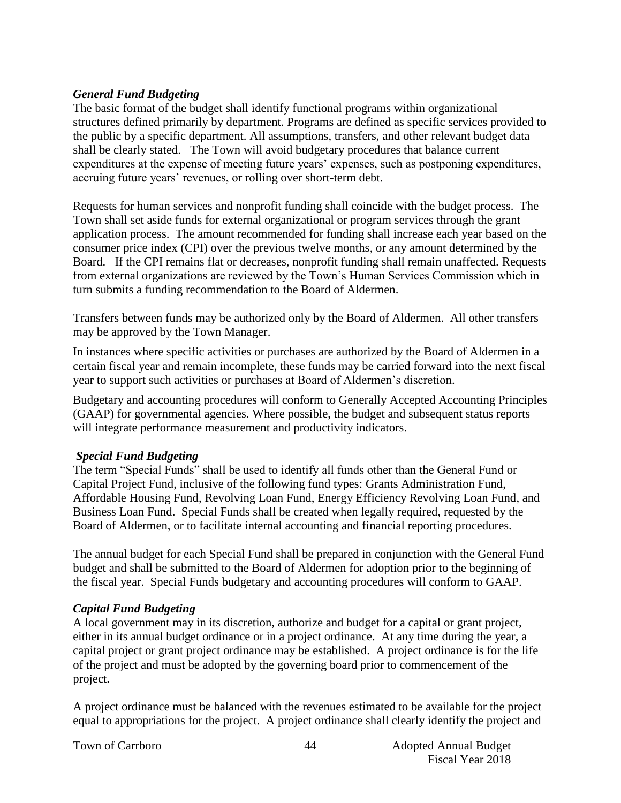#### *General Fund Budgeting*

The basic format of the budget shall identify functional programs within organizational structures defined primarily by department. Programs are defined as specific services provided to the public by a specific department. All assumptions, transfers, and other relevant budget data shall be clearly stated. The Town will avoid budgetary procedures that balance current expenditures at the expense of meeting future years' expenses, such as postponing expenditures, accruing future years' revenues, or rolling over short-term debt.

Requests for human services and nonprofit funding shall coincide with the budget process. The Town shall set aside funds for external organizational or program services through the grant application process. The amount recommended for funding shall increase each year based on the consumer price index (CPI) over the previous twelve months, or any amount determined by the Board. If the CPI remains flat or decreases, nonprofit funding shall remain unaffected. Requests from external organizations are reviewed by the Town's Human Services Commission which in turn submits a funding recommendation to the Board of Aldermen.

Transfers between funds may be authorized only by the Board of Aldermen. All other transfers may be approved by the Town Manager.

In instances where specific activities or purchases are authorized by the Board of Aldermen in a certain fiscal year and remain incomplete, these funds may be carried forward into the next fiscal year to support such activities or purchases at Board of Aldermen's discretion.

Budgetary and accounting procedures will conform to Generally Accepted Accounting Principles (GAAP) for governmental agencies. Where possible, the budget and subsequent status reports will integrate performance measurement and productivity indicators.

#### *Special Fund Budgeting*

The term "Special Funds" shall be used to identify all funds other than the General Fund or Capital Project Fund, inclusive of the following fund types: Grants Administration Fund, Affordable Housing Fund, Revolving Loan Fund, Energy Efficiency Revolving Loan Fund, and Business Loan Fund. Special Funds shall be created when legally required, requested by the Board of Aldermen, or to facilitate internal accounting and financial reporting procedures.

The annual budget for each Special Fund shall be prepared in conjunction with the General Fund budget and shall be submitted to the Board of Aldermen for adoption prior to the beginning of the fiscal year. Special Funds budgetary and accounting procedures will conform to GAAP.

#### *Capital Fund Budgeting*

A local government may in its discretion, authorize and budget for a capital or grant project, either in its annual budget ordinance or in a project ordinance. At any time during the year, a capital project or grant project ordinance may be established. A project ordinance is for the life of the project and must be adopted by the governing board prior to commencement of the project.

A project ordinance must be balanced with the revenues estimated to be available for the project equal to appropriations for the project. A project ordinance shall clearly identify the project and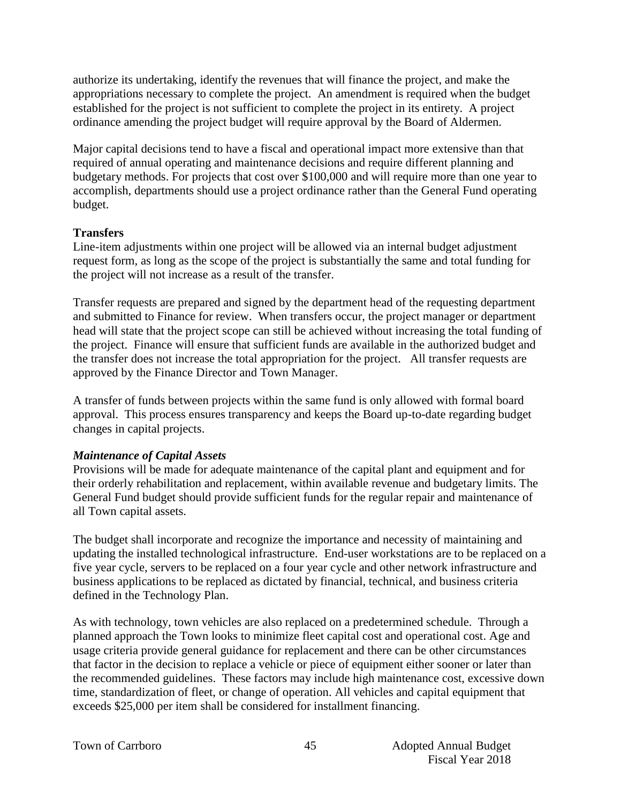authorize its undertaking, identify the revenues that will finance the project, and make the appropriations necessary to complete the project. An amendment is required when the budget established for the project is not sufficient to complete the project in its entirety. A project ordinance amending the project budget will require approval by the Board of Aldermen.

Major capital decisions tend to have a fiscal and operational impact more extensive than that required of annual operating and maintenance decisions and require different planning and budgetary methods. For projects that cost over \$100,000 and will require more than one year to accomplish, departments should use a project ordinance rather than the General Fund operating budget.

#### **Transfers**

Line-item adjustments within one project will be allowed via an internal budget adjustment request form, as long as the scope of the project is substantially the same and total funding for the project will not increase as a result of the transfer.

Transfer requests are prepared and signed by the department head of the requesting department and submitted to Finance for review. When transfers occur, the project manager or department head will state that the project scope can still be achieved without increasing the total funding of the project. Finance will ensure that sufficient funds are available in the authorized budget and the transfer does not increase the total appropriation for the project. All transfer requests are approved by the Finance Director and Town Manager.

A transfer of funds between projects within the same fund is only allowed with formal board approval. This process ensures transparency and keeps the Board up-to-date regarding budget changes in capital projects.

#### *Maintenance of Capital Assets*

Provisions will be made for adequate maintenance of the capital plant and equipment and for their orderly rehabilitation and replacement, within available revenue and budgetary limits. The General Fund budget should provide sufficient funds for the regular repair and maintenance of all Town capital assets.

The budget shall incorporate and recognize the importance and necessity of maintaining and updating the installed technological infrastructure. End-user workstations are to be replaced on a five year cycle, servers to be replaced on a four year cycle and other network infrastructure and business applications to be replaced as dictated by financial, technical, and business criteria defined in the Technology Plan.

As with technology, town vehicles are also replaced on a predetermined schedule. Through a planned approach the Town looks to minimize fleet capital cost and operational cost. Age and usage criteria provide general guidance for replacement and there can be other circumstances that factor in the decision to replace a vehicle or piece of equipment either sooner or later than the recommended guidelines. These factors may include high maintenance cost, excessive down time, standardization of fleet, or change of operation. All vehicles and capital equipment that exceeds \$25,000 per item shall be considered for installment financing.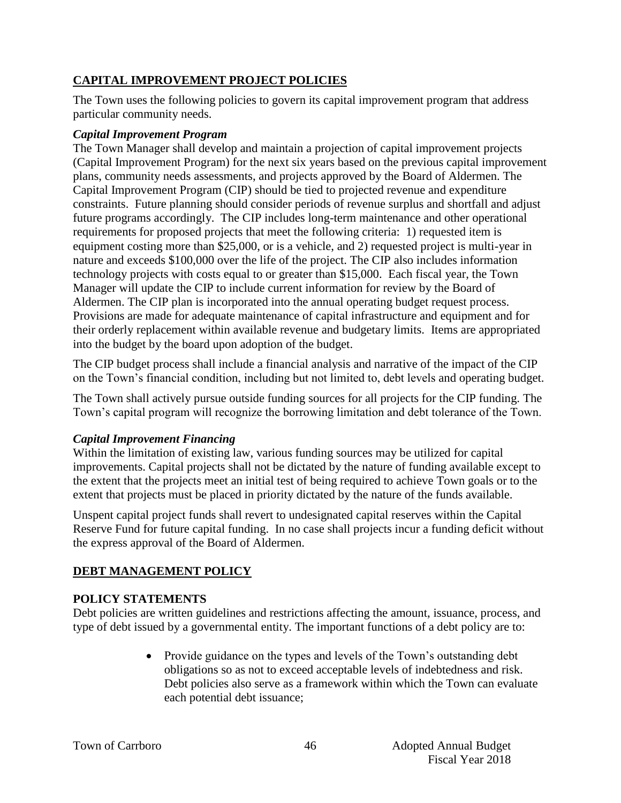# **CAPITAL IMPROVEMENT PROJECT POLICIES**

The Town uses the following policies to govern its capital improvement program that address particular community needs.

#### *Capital Improvement Program*

The Town Manager shall develop and maintain a projection of capital improvement projects (Capital Improvement Program) for the next six years based on the previous capital improvement plans, community needs assessments, and projects approved by the Board of Aldermen. The Capital Improvement Program (CIP) should be tied to projected revenue and expenditure constraints. Future planning should consider periods of revenue surplus and shortfall and adjust future programs accordingly. The CIP includes long-term maintenance and other operational requirements for proposed projects that meet the following criteria: 1) requested item is equipment costing more than \$25,000, or is a vehicle, and 2) requested project is multi-year in nature and exceeds \$100,000 over the life of the project. The CIP also includes information technology projects with costs equal to or greater than \$15,000. Each fiscal year, the Town Manager will update the CIP to include current information for review by the Board of Aldermen. The CIP plan is incorporated into the annual operating budget request process. Provisions are made for adequate maintenance of capital infrastructure and equipment and for their orderly replacement within available revenue and budgetary limits. Items are appropriated into the budget by the board upon adoption of the budget.

The CIP budget process shall include a financial analysis and narrative of the impact of the CIP on the Town's financial condition, including but not limited to, debt levels and operating budget.

The Town shall actively pursue outside funding sources for all projects for the CIP funding. The Town's capital program will recognize the borrowing limitation and debt tolerance of the Town.

#### *Capital Improvement Financing*

Within the limitation of existing law, various funding sources may be utilized for capital improvements. Capital projects shall not be dictated by the nature of funding available except to the extent that the projects meet an initial test of being required to achieve Town goals or to the extent that projects must be placed in priority dictated by the nature of the funds available.

Unspent capital project funds shall revert to undesignated capital reserves within the Capital Reserve Fund for future capital funding. In no case shall projects incur a funding deficit without the express approval of the Board of Aldermen.

# **DEBT MANAGEMENT POLICY**

#### **POLICY STATEMENTS**

Debt policies are written guidelines and restrictions affecting the amount, issuance, process, and type of debt issued by a governmental entity. The important functions of a debt policy are to:

> • Provide guidance on the types and levels of the Town's outstanding debt obligations so as not to exceed acceptable levels of indebtedness and risk. Debt policies also serve as a framework within which the Town can evaluate each potential debt issuance;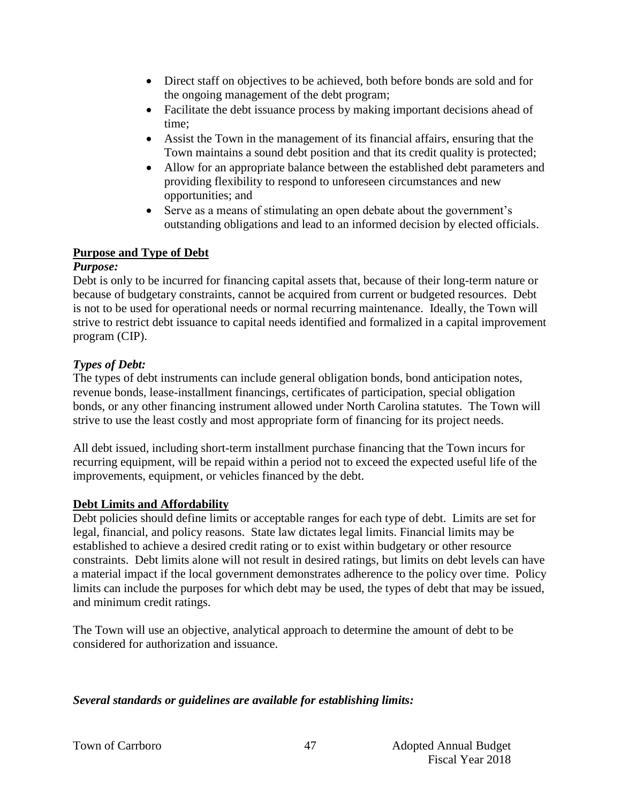- Direct staff on objectives to be achieved, both before bonds are sold and for the ongoing management of the debt program;
- Facilitate the debt issuance process by making important decisions ahead of time;
- Assist the Town in the management of its financial affairs, ensuring that the Town maintains a sound debt position and that its credit quality is protected;
- Allow for an appropriate balance between the established debt parameters and providing flexibility to respond to unforeseen circumstances and new opportunities; and
- Serve as a means of stimulating an open debate about the government's outstanding obligations and lead to an informed decision by elected officials.

#### **Purpose and Type of Debt**

## *Purpose:*

Debt is only to be incurred for financing capital assets that, because of their long-term nature or because of budgetary constraints, cannot be acquired from current or budgeted resources. Debt is not to be used for operational needs or normal recurring maintenance. Ideally, the Town will strive to restrict debt issuance to capital needs identified and formalized in a capital improvement program (CIP).

# *Types of Debt:*

The types of debt instruments can include general obligation bonds, bond anticipation notes, revenue bonds, lease-installment financings, certificates of participation, special obligation bonds, or any other financing instrument allowed under North Carolina statutes. The Town will strive to use the least costly and most appropriate form of financing for its project needs.

All debt issued, including short-term installment purchase financing that the Town incurs for recurring equipment, will be repaid within a period not to exceed the expected useful life of the improvements, equipment, or vehicles financed by the debt.

#### **Debt Limits and Affordability**

Debt policies should define limits or acceptable ranges for each type of debt. Limits are set for legal, financial, and policy reasons. State law dictates legal limits. Financial limits may be established to achieve a desired credit rating or to exist within budgetary or other resource constraints. Debt limits alone will not result in desired ratings, but limits on debt levels can have a material impact if the local government demonstrates adherence to the policy over time. Policy limits can include the purposes for which debt may be used, the types of debt that may be issued, and minimum credit ratings.

The Town will use an objective, analytical approach to determine the amount of debt to be considered for authorization and issuance.

#### *Several standards or guidelines are available for establishing limits:*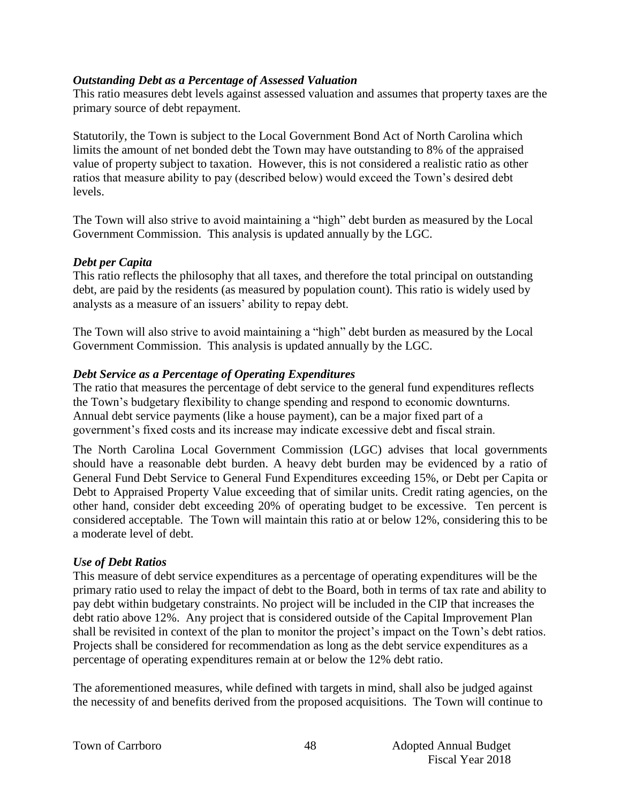#### *Outstanding Debt as a Percentage of Assessed Valuation*

This ratio measures debt levels against assessed valuation and assumes that property taxes are the primary source of debt repayment.

Statutorily, the Town is subject to the Local Government Bond Act of North Carolina which limits the amount of net bonded debt the Town may have outstanding to 8% of the appraised value of property subject to taxation. However, this is not considered a realistic ratio as other ratios that measure ability to pay (described below) would exceed the Town's desired debt levels.

The Town will also strive to avoid maintaining a "high" debt burden as measured by the Local Government Commission. This analysis is updated annually by the LGC.

#### *Debt per Capita*

This ratio reflects the philosophy that all taxes, and therefore the total principal on outstanding debt, are paid by the residents (as measured by population count). This ratio is widely used by analysts as a measure of an issuers' ability to repay debt.

The Town will also strive to avoid maintaining a "high" debt burden as measured by the Local Government Commission. This analysis is updated annually by the LGC.

#### *Debt Service as a Percentage of Operating Expenditures*

The ratio that measures the percentage of debt service to the general fund expenditures reflects the Town's budgetary flexibility to change spending and respond to economic downturns. Annual debt service payments (like a house payment), can be a major fixed part of a government's fixed costs and its increase may indicate excessive debt and fiscal strain.

The North Carolina Local Government Commission (LGC) advises that local governments should have a reasonable debt burden. A heavy debt burden may be evidenced by a ratio of General Fund Debt Service to General Fund Expenditures exceeding 15%, or Debt per Capita or Debt to Appraised Property Value exceeding that of similar units. Credit rating agencies, on the other hand, consider debt exceeding 20% of operating budget to be excessive. Ten percent is considered acceptable. The Town will maintain this ratio at or below 12%, considering this to be a moderate level of debt.

#### *Use of Debt Ratios*

This measure of debt service expenditures as a percentage of operating expenditures will be the primary ratio used to relay the impact of debt to the Board, both in terms of tax rate and ability to pay debt within budgetary constraints. No project will be included in the CIP that increases the debt ratio above 12%. Any project that is considered outside of the Capital Improvement Plan shall be revisited in context of the plan to monitor the project's impact on the Town's debt ratios. Projects shall be considered for recommendation as long as the debt service expenditures as a percentage of operating expenditures remain at or below the 12% debt ratio.

The aforementioned measures, while defined with targets in mind, shall also be judged against the necessity of and benefits derived from the proposed acquisitions. The Town will continue to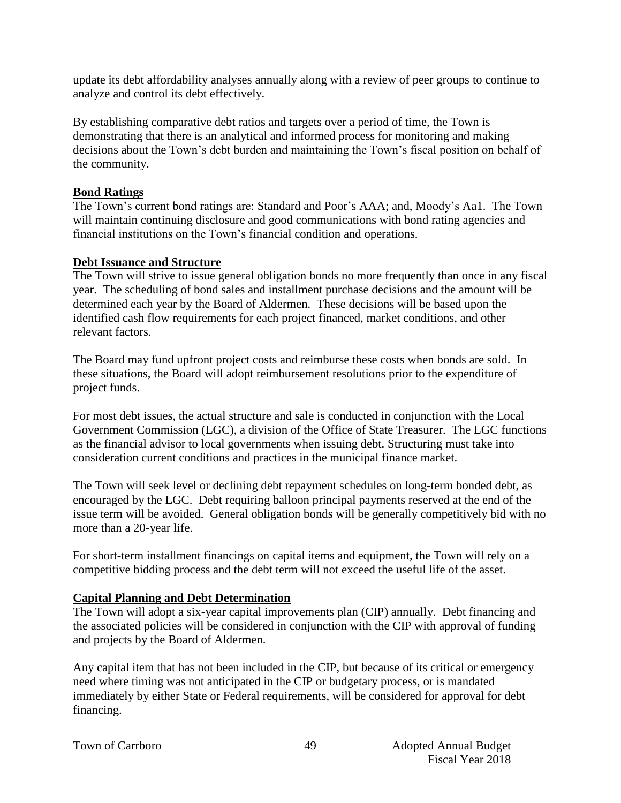update its debt affordability analyses annually along with a review of peer groups to continue to analyze and control its debt effectively.

By establishing comparative debt ratios and targets over a period of time, the Town is demonstrating that there is an analytical and informed process for monitoring and making decisions about the Town's debt burden and maintaining the Town's fiscal position on behalf of the community.

#### **Bond Ratings**

The Town's current bond ratings are: Standard and Poor's AAA; and, Moody's Aa1. The Town will maintain continuing disclosure and good communications with bond rating agencies and financial institutions on the Town's financial condition and operations.

#### **Debt Issuance and Structure**

The Town will strive to issue general obligation bonds no more frequently than once in any fiscal year. The scheduling of bond sales and installment purchase decisions and the amount will be determined each year by the Board of Aldermen. These decisions will be based upon the identified cash flow requirements for each project financed, market conditions, and other relevant factors.

The Board may fund upfront project costs and reimburse these costs when bonds are sold. In these situations, the Board will adopt reimbursement resolutions prior to the expenditure of project funds.

For most debt issues, the actual structure and sale is conducted in conjunction with the Local Government Commission (LGC), a division of the Office of State Treasurer. The LGC functions as the financial advisor to local governments when issuing debt. Structuring must take into consideration current conditions and practices in the municipal finance market.

The Town will seek level or declining debt repayment schedules on long-term bonded debt, as encouraged by the LGC. Debt requiring balloon principal payments reserved at the end of the issue term will be avoided. General obligation bonds will be generally competitively bid with no more than a 20-year life.

For short-term installment financings on capital items and equipment, the Town will rely on a competitive bidding process and the debt term will not exceed the useful life of the asset.

#### **Capital Planning and Debt Determination**

The Town will adopt a six-year capital improvements plan (CIP) annually. Debt financing and the associated policies will be considered in conjunction with the CIP with approval of funding and projects by the Board of Aldermen.

Any capital item that has not been included in the CIP, but because of its critical or emergency need where timing was not anticipated in the CIP or budgetary process, or is mandated immediately by either State or Federal requirements, will be considered for approval for debt financing.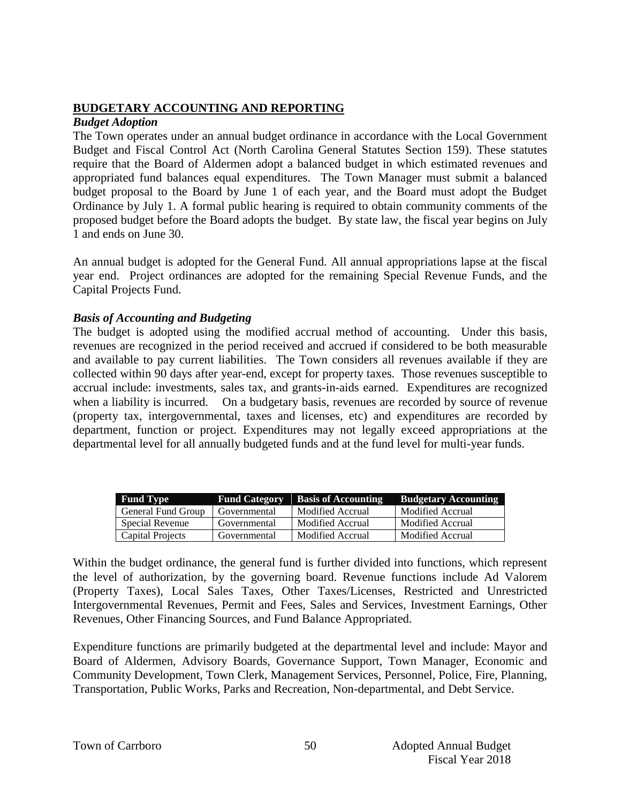### **BUDGETARY ACCOUNTING AND REPORTING**

#### *Budget Adoption*

The Town operates under an annual budget ordinance in accordance with the Local Government Budget and Fiscal Control Act (North Carolina General Statutes Section 159). These statutes require that the Board of Aldermen adopt a balanced budget in which estimated revenues and appropriated fund balances equal expenditures. The Town Manager must submit a balanced budget proposal to the Board by June 1 of each year, and the Board must adopt the Budget Ordinance by July 1. A formal public hearing is required to obtain community comments of the proposed budget before the Board adopts the budget. By state law, the fiscal year begins on July 1 and ends on June 30.

An annual budget is adopted for the General Fund. All annual appropriations lapse at the fiscal year end. Project ordinances are adopted for the remaining Special Revenue Funds, and the Capital Projects Fund.

#### *Basis of Accounting and Budgeting*

The budget is adopted using the modified accrual method of accounting. Under this basis, revenues are recognized in the period received and accrued if considered to be both measurable and available to pay current liabilities. The Town considers all revenues available if they are collected within 90 days after year-end, except for property taxes. Those revenues susceptible to accrual include: investments, sales tax, and grants-in-aids earned. Expenditures are recognized when a liability is incurred. On a budgetary basis, revenues are recorded by source of revenue (property tax, intergovernmental, taxes and licenses, etc) and expenditures are recorded by department, function or project. Expenditures may not legally exceed appropriations at the departmental level for all annually budgeted funds and at the fund level for multi-year funds.

| <b>Fund Type</b>   | <b>Fund Category</b> | <b>Basis of Accounting</b> | <b>Budgetary Accounting</b> |
|--------------------|----------------------|----------------------------|-----------------------------|
| General Fund Group | Governmental         | Modified Accrual           | Modified Accrual            |
| Special Revenue    | Governmental         | Modified Accrual           | Modified Accrual            |
| Capital Projects   | Governmental         | Modified Accrual           | Modified Accrual            |

Within the budget ordinance, the general fund is further divided into functions, which represent the level of authorization, by the governing board. Revenue functions include Ad Valorem (Property Taxes), Local Sales Taxes, Other Taxes/Licenses, Restricted and Unrestricted Intergovernmental Revenues, Permit and Fees, Sales and Services, Investment Earnings, Other Revenues, Other Financing Sources, and Fund Balance Appropriated.

Expenditure functions are primarily budgeted at the departmental level and include: Mayor and Board of Aldermen, Advisory Boards, Governance Support, Town Manager, Economic and Community Development, Town Clerk, Management Services, Personnel, Police, Fire, Planning, Transportation, Public Works, Parks and Recreation, Non-departmental, and Debt Service.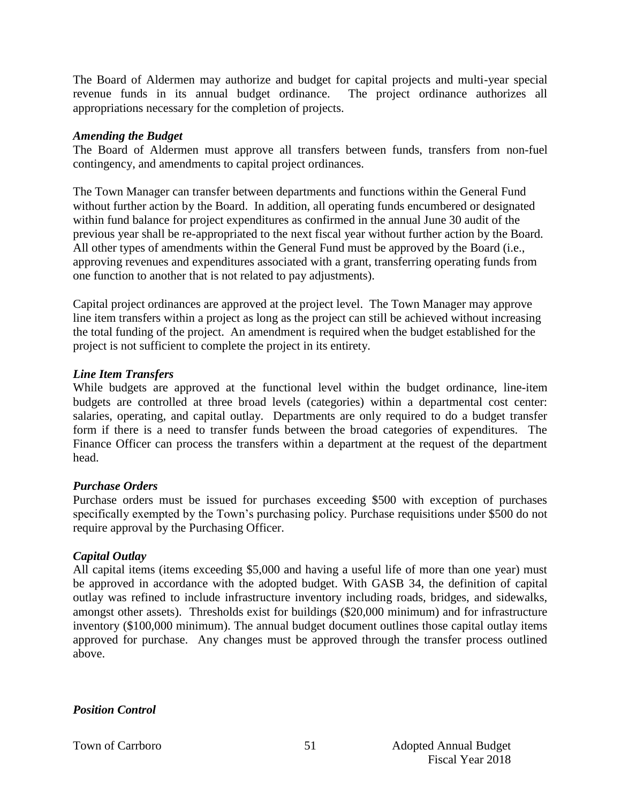The Board of Aldermen may authorize and budget for capital projects and multi-year special revenue funds in its annual budget ordinance. The project ordinance authorizes all appropriations necessary for the completion of projects.

#### *Amending the Budget*

The Board of Aldermen must approve all transfers between funds, transfers from non-fuel contingency, and amendments to capital project ordinances.

The Town Manager can transfer between departments and functions within the General Fund without further action by the Board. In addition, all operating funds encumbered or designated within fund balance for project expenditures as confirmed in the annual June 30 audit of the previous year shall be re-appropriated to the next fiscal year without further action by the Board. All other types of amendments within the General Fund must be approved by the Board (i.e., approving revenues and expenditures associated with a grant, transferring operating funds from one function to another that is not related to pay adjustments).

Capital project ordinances are approved at the project level. The Town Manager may approve line item transfers within a project as long as the project can still be achieved without increasing the total funding of the project. An amendment is required when the budget established for the project is not sufficient to complete the project in its entirety.

#### *Line Item Transfers*

While budgets are approved at the functional level within the budget ordinance, line-item budgets are controlled at three broad levels (categories) within a departmental cost center: salaries, operating, and capital outlay. Departments are only required to do a budget transfer form if there is a need to transfer funds between the broad categories of expenditures. The Finance Officer can process the transfers within a department at the request of the department head.

#### *Purchase Orders*

Purchase orders must be issued for purchases exceeding \$500 with exception of purchases specifically exempted by the Town's purchasing policy. Purchase requisitions under \$500 do not require approval by the Purchasing Officer.

#### *Capital Outlay*

All capital items (items exceeding \$5,000 and having a useful life of more than one year) must be approved in accordance with the adopted budget. With GASB 34, the definition of capital outlay was refined to include infrastructure inventory including roads, bridges, and sidewalks, amongst other assets). Thresholds exist for buildings (\$20,000 minimum) and for infrastructure inventory (\$100,000 minimum). The annual budget document outlines those capital outlay items approved for purchase. Any changes must be approved through the transfer process outlined above.

*Position Control*